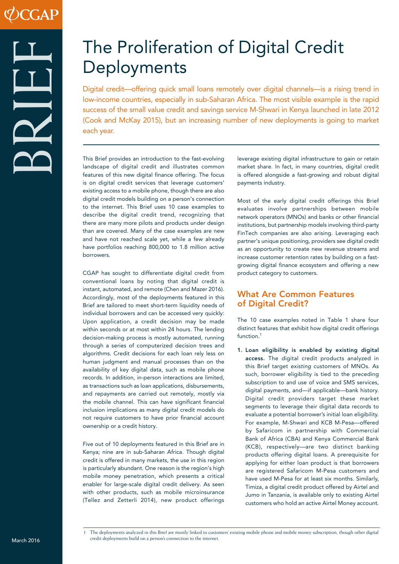# The Proliferation of Digital Credit **Deployments**

Digital credit—offering quick small loans remotely over digital channels—is a rising trend in low-income countries, especially in sub-Saharan Africa. The most visible example is the rapid success of the small value credit and savings service M-Shwari in Kenya launched in late 2012 (Cook and McKay 2015), but an increasing number of new deployments is going to market each year.

This Brief provides an introduction to the fast-evolving landscape of digital credit and illustrates common features of this new digital finance offering. The focus is on digital credit services that leverage customers' existing access to a mobile phone, though there are also digital credit models building on a person's connection to the internet. This Brief uses 10 case examples to describe the digital credit trend, recognizing that there are many more pilots and products under design than are covered. Many of the case examples are new and have not reached scale yet, while a few already have portfolios reaching 800,000 to 1.8 million active borrowers.

CGAP has sought to differentiate digital credit from conventional loans by noting that digital credit is instant, automated, and remote (Chen and Mazer 2016). Accordingly, most of the deployments featured in this Brief are tailored to meet short-term liquidity needs of individual borrowers and can be accessed very quickly: Upon application, a credit decision may be made within seconds or at most within 24 hours. The lending decision-making process is mostly automated, running through a series of computerized decision trees and algorithms. Credit decisions for each loan rely less on human judgment and manual processes than on the availability of key digital data, such as mobile phone records. In addition, in-person interactions are limited, as transactions such as loan applications, disbursements, and repayments are carried out remotely, mostly via the mobile channel. This can have significant financial inclusion implications as many digital credit models do not require customers to have prior financial account ownership or a credit history.

Five out of 10 deployments featured in this Brief are in Kenya; nine are in sub-Saharan Africa. Though digital credit is offered in many markets, the use in this region is particularly abundant. One reason is the region's high mobile money penetration, which presents a critical enabler for large-scale digital credit delivery. As seen with other products, such as mobile microinsurance (Tellez and Zetterli 2014), new product offerings

leverage existing digital infrastructure to gain or retain market share. In fact, in many countries, digital credit is offered alongside a fast-growing and robust digital payments industry.

Most of the early digital credit offerings this Brief evaluates involve partnerships between mobile network operators (MNOs) and banks or other financial institutions, but partnership models involving third-party FinTech companies are also arising. Leveraging each partner's unique positioning, providers see digital credit as an opportunity to create new revenue streams and increase customer retention rates by building on a fastgrowing digital finance ecosystem and offering a new product category to customers.

#### What Are Common Features of Digital Credit?

The 10 case examples noted in Table 1 share four distinct features that exhibit how digital credit offerings function.<sup>1</sup>

1. Loan eligibility is enabled by existing digital access. The digital credit products analyzed in this Brief target *existing* customers of MNOs. As such, borrower eligibility is tied to the preceding subscription to and use of voice and SMS services, digital payments, and—if applicable—bank history. Digital credit providers target these market segments to leverage their digital data records to evaluate a potential borrower's initial loan eligibility. For example, M-Shwari and KCB M-Pesa—offered by Safaricom in partnership with Commercial Bank of Africa (CBA) and Kenya Commercial Bank (KCB), respectively—are two distinct banking products offering digital loans. A prerequisite for applying for either loan product is that borrowers are registered Safaricom M-Pesa customers and have used M-Pesa for at least six months. Similarly, Timiza, a digital credit product offered by Airtel and Jumo in Tanzania, is available only to existing Airtel customers who hold an active Airtel Money account.

March 2016

<sup>1</sup> The deployments analyzed in this Brief are mostly linked to customers' existing mobile phone and mobile money subscription, though other digital credit deployments build on a person's connection to the internet.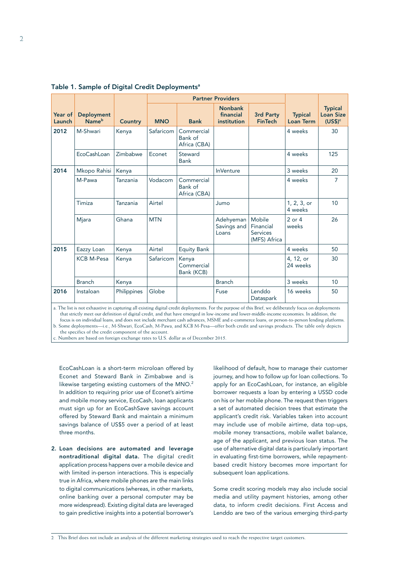|                   |                                        |             | <b>Partner Providers</b> |                                       |                                            |                                                        |                                    |                                                 |
|-------------------|----------------------------------------|-------------|--------------------------|---------------------------------------|--------------------------------------------|--------------------------------------------------------|------------------------------------|-------------------------------------------------|
| Year of<br>Launch | <b>Deployment</b><br>Name <sup>b</sup> | Country     | <b>MNO</b>               | <b>Bank</b>                           | <b>Nonbank</b><br>financial<br>institution | 3rd Party<br><b>FinTech</b>                            | <b>Typical</b><br><b>Loan Term</b> | <b>Typical</b><br><b>Loan Size</b><br>$(US$)^c$ |
| 2012              | M-Shwari                               | Kenya       | Safaricom                | Commercial<br>Bank of<br>Africa (CBA) |                                            |                                                        | 4 weeks                            | 30                                              |
|                   | EcoCashLoan                            | Zimbabwe    | Econet                   | Steward<br><b>Bank</b>                |                                            |                                                        | 4 weeks                            | 125                                             |
| 2014              | Mkopo Rahisi                           | Kenya       |                          |                                       | <b>InVenture</b>                           |                                                        | 3 weeks                            | 20                                              |
|                   | M-Pawa                                 | Tanzania    | Vodacom                  | Commercial<br>Bank of<br>Africa (CBA) |                                            |                                                        | 4 weeks                            | 7                                               |
|                   | Timiza                                 | Tanzania    | Airtel                   |                                       | Jumo                                       |                                                        | 1, 2, 3, or<br>4 weeks             | 10                                              |
|                   | Mjara                                  | Ghana       | <b>MTN</b>               |                                       | Adehyeman<br>Savings and<br>Loans          | Mobile<br>Financial<br><b>Services</b><br>(MFS) Africa | $2$ or $4$<br>weeks                | 26                                              |
| 2015              | Eazzy Loan                             | Kenya       | Airtel                   | Equity Bank                           |                                            |                                                        | 4 weeks                            | 50                                              |
|                   | <b>KCB M-Pesa</b>                      | Kenya       | Safaricom                | Kenya<br>Commercial<br>Bank (KCB)     |                                            |                                                        | 4, 12, or<br>24 weeks              | 30                                              |
|                   | <b>Branch</b>                          | Kenya       |                          |                                       | <b>Branch</b>                              |                                                        | 3 weeks                            | 10                                              |
| 2016              | Instaloan                              | Philippines | Globe                    |                                       | Fuse                                       | Lenddo<br>Dataspark                                    | 16 weeks                           | 50                                              |

Table 1. Sample of Digital Credit Deployments<sup>a</sup>

a. The list is not exhaustive in capturing all existing digital credit deployments. For the purpose of this Brief, we deliberately focus on deployments that strictly meet our definition of digital credit, and that have emerged in low-income and lower-middle-income economies. In addition, the focus is on individual loans, and does not include merchant cash advances, MSME and e-commerce loans, or person-to-person lending platforms. b. Some deployments—i.e., M-Shwari, EcoCash, M-Pawa, and KCB M-Pesa—offer both credit and savings products. The table only depicts

the specifics of the credit component of the account.

c. Numbers are based on foreign exchange rates to U.S. dollar as of December 2015.

EcoCashLoan is a short-term microloan offered by Econet and Steward Bank in Zimbabwe and is likewise targeting existing customers of the MNO.<sup>2</sup> In addition to requiring prior use of Econet's airtime and mobile money service, EcoCash, loan applicants must sign up for an EcoCashSave savings account offered by Steward Bank and maintain a minimum savings balance of US\$5 over a period of at least three months.

2. Loan decisions are automated and leverage nontraditional digital data. The digital credit application process happens over a mobile device and with limited in-person interactions. This is especially true in Africa, where mobile phones are the main links to digital communications (whereas, in other markets, online banking over a personal computer may be more widespread). Existing digital data are leveraged to gain predictive insights into a potential borrower's

likelihood of default, how to manage their customer journey, and how to follow up for loan collections. To apply for an EcoCashLoan, for instance, an eligible borrower requests a loan by entering a USSD code on his or her mobile phone. The request then triggers a set of automated decision trees that estimate the applicant's credit risk. Variables taken into account may include use of mobile airtime, data top-ups, mobile money transactions, mobile wallet balance, age of the applicant, and previous loan status. The use of alternative digital data is particularly important in evaluating first-time borrowers, while repaymentbased credit history becomes more important for subsequent loan applications.

Some credit scoring models may also include social media and utility payment histories, among other data, to inform credit decisions. First Access and Lenddo are two of the various emerging third-party

2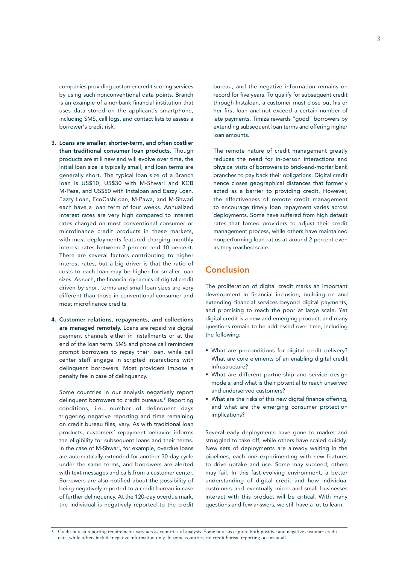companies providing customer credit scoring services by using such nonconventional data points. Branch is an example of a nonbank financial institution that uses data stored on the applicant's smartphone, including SMS, call logs, and contact lists to assess a borrower's credit risk.

- 3. Loans are smaller, shorter-term, and often costlier than traditional consumer loan products. Though products are still new and will evolve over time, the initial loan size is typically small, and loan terms are generally short. The typical loan size of a Branch loan is US\$10, US\$30 with M-Shwari and KCB M-Pesa, and US\$50 with Instaloan and Eazzy Loan. Eazzy Loan, EcoCashLoan, M-Pawa, and M-Shwari each have a loan term of four weeks. Annualized interest rates are very high compared to interest rates charged on most conventional consumer or microfinance credit products in these markets, with most deployments featured charging monthly interest rates between 2 percent and 10 percent. There are several factors contributing to higher interest rates, but a big driver is that the ratio of costs to each loan may be higher for smaller loan sizes. As such, the financial dynamics of digital credit driven by short terms and small loan sizes are very different than those in conventional consumer and most microfinance credits.
- 4. Customer relations, repayments, and collections are managed remotely. Loans are repaid via digital payment channels either in installments or at the end of the loan term. SMS and phone call reminders prompt borrowers to repay their loan, while call center staff engage in scripted interactions with delinquent borrowers. Most providers impose a penalty fee in case of delinquency.

Some countries in our analysis negatively report delinquent borrowers to credit bureaus.<sup>3</sup> Reporting conditions, i.e., number of delinquent days triggering negative reporting and time remaining on credit bureau files, vary. As with traditional loan products, customers' repayment behavior informs the eligibility for subsequent loans and their terms. In the case of M-Shwari, for example, overdue loans are automatically extended for another 30-day cycle under the same terms, and borrowers are alerted with text messages and calls from a customer center. Borrowers are also notified about the possibility of being negatively reported to a credit bureau in case of further delinquency. At the 120-day overdue mark, the individual is negatively reported to the credit

bureau, and the negative information remains on record for five years. To qualify for subsequent credit through Instaloan, a customer must close out his or her first loan and not exceed a certain number of late payments. Timiza rewards "good" borrowers by extending subsequent loan terms and offering higher loan amounts.

The remote nature of credit management greatly reduces the need for in-person interactions and physical visits of borrowers to brick-and-mortar bank branches to pay back their obligations. Digital credit hence closes geographical distances that formerly acted as a barrier to providing credit. However, the effectiveness of remote credit management to encourage timely loan repayment varies across deployments. Some have suffered from high default rates that forced providers to adjust their credit management process, while others have maintained nonperforming loan ratios at around 2 percent even as they reached scale.

### Conclusion

The proliferation of digital credit marks an important development in financial inclusion, building on and extending financial services beyond digital payments, and promising to reach the poor at large scale. Yet digital credit is a new and emerging product, and many questions remain to be addressed over time, including the following:

- What are preconditions for digital credit delivery? What are core elements of an enabling digital credit infrastructure?
- What are different partnership and service design models, and what is their potential to reach unserved and underserved customers?
- What are the risks of this new digital finance offering, and what are the emerging consumer protection implications?

Several early deployments have gone to market and struggled to take off, while others have scaled quickly. New sets of deployments are already waiting in the pipelines, each one experimenting with new features to drive uptake and use. Some may succeed; others may fail. In this fast-evolving environment, a better understanding of digital credit and how individual customers and eventually micro and small businesses interact with this product will be critical. With many questions and few answers, we still have a lot to learn.

3 Credit bureau reporting requirements vary across countries of analysis: Some bureaus capture both positive and negative customer credit data, while others include negative information only. In some countries, no credit bureau reporting occurs at all.